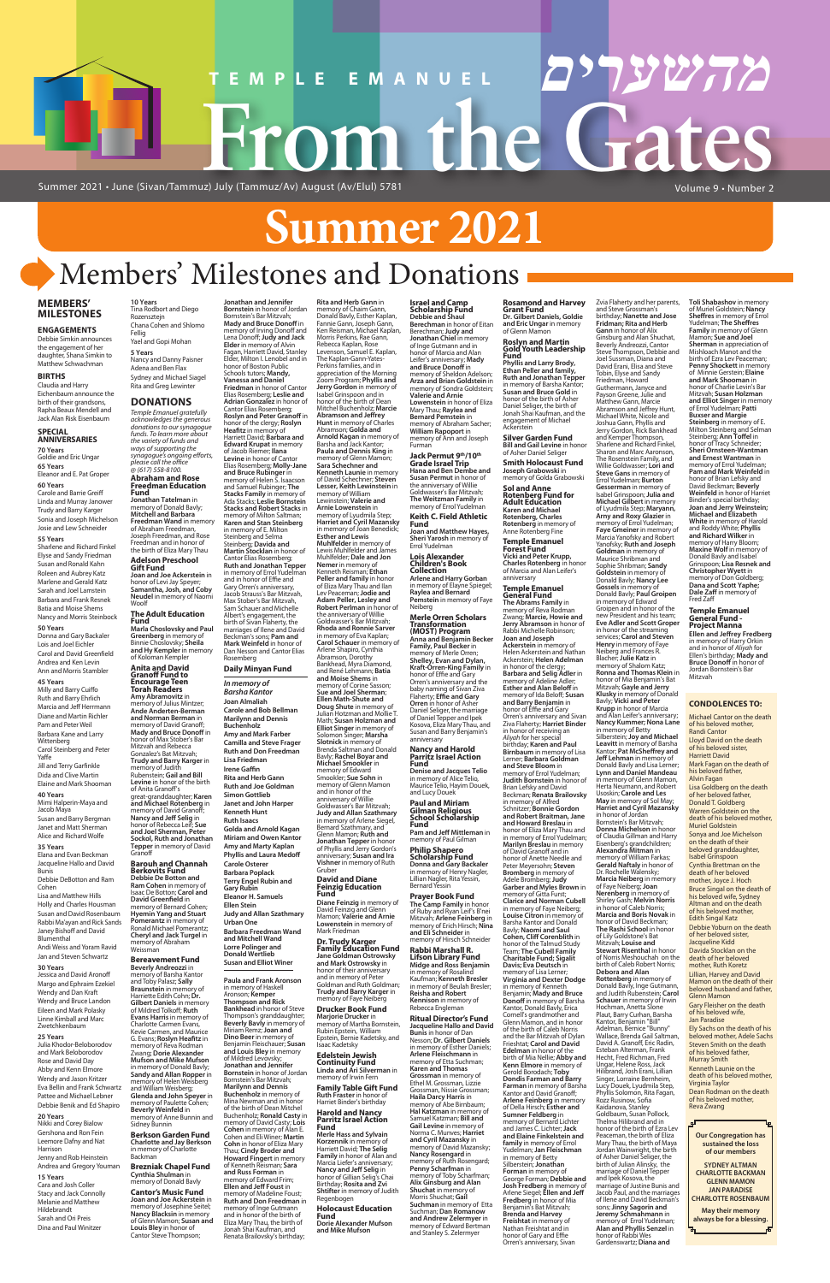#### Volume 9 • Number 2

# **Summer 2021**

## Members' Milestones and Donations

**מהשערים**

#### **MEMBERS' MILESTONES**

**ENGAGEMENTS** Debbie Simkin announces the engagement of her daughter, Shana Simkin to Matthew Schwachman

#### **BIRTHS** Claudia and Harry

Eichenbaum announce the birth of their grandsons, Rapha Beaux Mendell and Jack Alan Risk Eisenbaum

#### **SPECIAL ANNIVERSARIES 70 Years**

Goldie and Eric Ungar **65 Years** Eleanor and E. Pat Groper

**60 Years** Carole and Barrie Greiff Linda and Murray Janower Trudy and Barry Karger Sonia and Joseph Michelson Josie and Lew Schneider

### **55 Years**

Sharlene and Richard Finkel Elyse and Sandy Friedman Susan and Ronald Kahn Roleen and Aubrey Katz Marlene and Gerald Katz Sarah and Joel Lamstein Barbara and Frank Resnek Batia and Moise Shems Nancy and Morris Steinbock **50 Years** Donna and Gary Backaler

Susan and David Rosenbaum Rabbi Ma'ayan and Rick Sands Janey Bishoff and David **Blumenthal** 

Lois and Joel Eichler Carol and David Greenfield Andrea and Ken Levin Ann and Morris Stambler **45 Years** Milly and Barry Cuiffo

Ruth and Barry Ehrlich Marcia and Jeff Herrmann Diane and Martin Richler Pam and Peter Weil Barbara Kane and Larry **Wittenberg** Carol Steinberg and Peter Yaffe Jill and Terry Garfinkle Dida and Clive Martin Elaine and Mark Shooman

**Jonathan and Jennifer Bornstein** in honor of Jordan Bornstein's Bar Mitzvah; **Mady and Bruce Donoff** in memory of Irving Donoff and Lena Donoff; **Judy and Jack Elder** in memory of Alvin<br>Fagan, Harriett David, Stanley<br>Elder, Milton I. Lenobel and in honor of Boston Public Schools tutors; **Mandy, Vanessa and Daniel Friedman** in honor of Cantor Elias Rosemberg; **Leslie and Adrian Gonzalez** in honor of Cantor Elias Rosemberg; **Roslyn and Peter Granoff** in honor of the clergy; **Roslyn Heafitz** in memory of Harriett David; **Barbara and Edward Krupat** in memory of Jacob Riemer; **Ilana Levine** in honor of Cantor Elias Rosemberg; **Molly-Jane and Bruce Rubinger** in memory of Helen S. Isaacson and Samuel Rubinger; **The Stacks Family** in memory of Ada Stacks; **Leslie Bornstein Stacks and Robert Stacks** in memory of Milton Saltman; **Karen and Stan Steinberg** in memory of E. Milton Steinberg and Selma Steinberg; **Davida and Martin Stocklan** in honor of Cantor Elias Rosemberg; **Ruth and Jonathan Tepper** in memory of Errol Yudelman and in honor of Effie and Gary Orren's anniversary, Jacob Strauss's Bar Mitzvah, Max Stober's Bar Mitzvah, Sam Schauer and Michelle Albert's engagement, the birth of Sivan Flaherty, the marriages of Ilene and David **Daily Minyan Fund Carole and Bob Bellman Marilynn and Dennis Amy and Mark Farber Camilla and Steve Frager Ruth and Don Freedman Rita and Herb Gann Ruth and Joe Goldman Janet and John Harper Golda and Arnold Kagan Miriam and Owen Kantor Rita and Herb Gann** in memory of Chaim Gann, Donald Bavly, Esther Kaplan,<br>Fannie Gann, Joseph Gann,<br>Ken Reisman, Michael Kaplan, Morris Perkins, Rae Gann, Rebecca Kaplan, Rose Levenson, Samuel E. Kaplan, The Kaplan-Gann-Yates-Perkins families, and in appreciation of the Morning Zoom Program; **Phyllis and Jerry Gordon** in memory of Isabel Grinspoon and in honor of the birth of Dean Mitchel Buchenholz; **Marcie Abramson and Jeffrey Hunt** in memory of Charles Abramson; **Golda and Arnold Kagan** in memory of Barsha and Jack Kantor; **Paula and Dennis King** in memory of Glenn Mamon;<br>**Sara Schechner and**<br>**Kenneth Launie** in memory of David Schechner; **Steven Lesser, Keith Lewinstein** in memory of William Lewinstein; **Valerie and Arnie Lowenstein** in memory of Lyudmila Step;<br>**Harriet and Cyril Mazansky**<br>in memory of Joan Benedick; **Esther and Lewis Muhlfelder** in memory of Lewis Muhlfelder and James Muhlfelder; **Dale and Jon Nemer** in memory of Kenneth Reisman; **Ethan Peller and family** in honor of Eliza Mary Thau and Ilan Lev Peaceman; **Jodie and Adam Peller, Lesley and Robert Perlman** in honor of the anniversary of Willie Goldwasser's Bar Mitzvah; **Rhoda and Ronnie Sarver** in memory of Eva Kaplan; **Carol Schauer** in memory of Arlene Shapiro, Cynthia Abramson, Dorothy Bankhead, Myra Diamond, and René Lehmann; **Batia and Moise Shems** in memory of Corine Sasson; **Sue and Joel Sherman**; **Ellen Math-Shute and Doug Shute** in memory of Julian Hotzman and Mollie T. Math; **Susan Holzman and Elliot Singer** in memory of Solomon Singer; **Marsha Slotnick** in memory of Brenda Saltman and Donald Bavly; **Rachel Boyar and Michael Smookler** in memory of Edward Smookler; **Sue Sohn** in memory of Glenn Mamon and in honor of the anniversary of Willie Goldwasser's Bar Mitzvah; **Judy and Allan Szathmary** in memory of Arlene Siegel,<br>Bernard Szathmary, and

**40 Years** Mimi Halperin-Maya and Jacob Maya Susan and Barry Bergman Janet and Matt Sherman Alice and Richard Wolfe

**35 Years** Elana and Evan Beckman Jacqueline Hallo and David Bunis Debbie DeBotton and Ram Cohen Lisa and Matthew Hills Holly and Charles Housman

Andi Weiss and Yoram Ravid Jan and Steven Schwartz

#### **30 Years**

Jessica and David Aronoff Margo and Ephraim Ezekiel Wendy and Dan Kraft Wendy and Bruce Landon Eileen and Mark Polasky Linne Kimball and Marc Zwetchkenbaum

**25 Years** Julia Khodor-Beloborodov and Mark Beloborodov Rose and David Day Abby and Kenn Elmore Wendy and Jason Kritzer Eva Bellin and Frank Schwartz Pattee and Michael Lebner Debbie Benik and Ed Shapiro

#### **20 Years**

Nikki and Corey Bialow Gershona and Ron Fein Leemore Dafny and Nat Harrison Jenny and Rob Heinstein

Andrea and Gregory Youman

#### **15 Years**

Cara and Josh Coller Stacy and Jack Connolly Melanie and Matthew Hildebrandt Sarah and Ori Preis Dina and Paul Winitzer

**Diane Feinzig** in memory of David Feinzig and Glenn Mamon; **Valerie and Arnie Lowenstein** in memory of **Prayer Book Fund The Camp Family** in honor of Ruby and Ryan Leif's B'nei Mitzvah; **Arlene Feinberg** in memory of Erich Hirsch; **Nina and Eli Schneider** in memory of Hirsch Sch

*In memory of Barsha Kantor* **Joan Almaliah** 

> Mark Friedman **Dr. Trudy Kar**

**Family Education Fund Jane Goldman Ostrowsky and Mark Ostrowsky** in honor of their anniversary and in memory of Peter Goldman and Ruth Goldman; **Trudy and Barry Karger** in memory of Faye Neibe

**Buchenholz**

**Lisa Friedman Irene Gaffin**

**Simon Gottlieb**

**Kenneth Hunt Ruth Isaacs**

**Amy and Marty Kaplan Phyllis and Laura Medoff Carole Osterer Barbara Poplack Terry Engel Rubin and Gary Rubin Eleanor H. Samuels Ellen Stein**

**Judy and Allan Szathmary**

**Urban One**

**Barbara Freedman Wand and Mitchell Wand** 

**Lorre Polinger and Donald Wertlieb** 

#### **Susan and Elliot Winer**

**Paula and Frank Aronson** in memory of Haskell Aronson; **Kemper Thompson and Rick Bankhead** in honor of Steve Thompson's granddaughter; **Beverly Bavly** in memory of Miriam Remz; **Joan and Dino Beer** in memory of Benjamin Fleischauer; **Susan and Louis Bley** in memory of Mildred Levovsky; **Jonathan and Jennifer Bornstein** in honor of Jordan Bornstein's Bar Mitzvah; **Marilynn and Dennis Buchenholz** in memory of Mina Newman and in honor of the birth of Dean Mitchel Buchenholz; **Ronald Casty** in memory of David Casty; **Lois Cohen** in memory of Alan E. Cohen and Eli Winer; **Martin Cohn** in honor of Eliza Mary Thau; **Cindy Broder and Howard Fingert** in memory of Kenneth Reisman; **Sara and Russ Forman** in memory of Edward Frim; **Ellen and Jeff Foust** in memory of Madeline Foust; **Ruth and Don Freedman** in

memory of Inge Gutmann and in honor of the birth of Eliza Mary Thau, the birth of Jonah Shai Kaufman, and Renata Brailovsky's birthday;

## Glenn Mamon; **Ruth and Jonathan Tepper** in honor of Phyllis and Jerry Gordon's anniversary; **Susan and Ira Vishner** in memory of Ruth Gruber

#### **David and Diane Feinzig Education Fund**

**Drucker Book Fund Marjorie Drucker** in memory of Martha Bornstein, Rubin Epstein, William Epstein, Bernie Kadetsky, and Isaac Kadetsky

**Edelstein Jewish Continuity Fund Linda and Ari Silverman** in memory of Irwin Fern

**Family Table Gift Fund Ruth Fraster** in honor of Harriet Binder's birthday

#### **Harold and Nancy Parritz Israel Action Fund**

**Merle Hass and Sylvain Korzennik** in memory of Harriett David; **The Selig Family** in honor of Alan and Marcia Liefer's anniversary; **Nancy and Jeff Selig** in honor of Gillian Selig's Chai Birthday; **Rosita and Zvi Shtifter** in memory of Judith Regenbogen

#### **Holocaust Education Fund**

**Dorie Alexander Mufson and Mike Mufson**

**Israel and Camp Scholarship Fund Debbie and Shaul Berechman** in honor of Eitan Berechman; **Judy and Jonathan Chiel** in memory of Inge Gutmann and in honor of Marcia and Alan

Leifer's anniversary; **Mady and Bruce Donoff** in memory of Sheldon Adelson; **Arza and Brian Goldstein** in memory of Sondra Goldstein; **Valerie and Arnie Lowenstein** in honor of Eliza Mary Thau; **Raylea and Bernard Pemstein** in memory of Abraham Sacher; **William Rapoport** in memory of Ann and Joseph

Furman

**Jack Permut 9th/10th**

Goldwasser's Bar Mitzvah; **The Weitzman Family** in memory of Errol Yudelman **Keith C. Field Athletic** 

**Fund**

**Joan and Matthew Hayes, Sheri Yarosh** in memory of Errol Yudelman **Lois Alexander Children's Book Collection**

**Arlene and Harry Gorban** in memory of Elayne Spiegel; **Raylea and Bernard Pemstein** in memory of Faye

Neiberg

**Merle Orren Scholars Transformation (MOST) Program Anna and Benjamin Becker Family, Paul Becker** in memory of Merle Orren; **Shelley, Evan and Dylan, Kraft-Orren-King Family** in honor of Effie and Gary Orren's anniversary and the baby naming of Sivan Ziva

Flaherty; **Effie and Gary<br><b>Orren** in honor of Asher<br>Daniel Seliger, the marriage<br>of Daniel Tepper and Ipek<br>Kosova, Eliza Mary Thau, and<br>Susan and Barry Benjamin's

anniversary **Nancy and Harold Parritz Israel Action** 

**Fund**

**Denise and Jacques Telio** in memory of Alice Telio, Maurice Telio, Hayim Douek, and Lucy Douek **Paul and Miriam Gilman Religious School Scholarship** 

**Fund**

**Pam and Jeff Mittleman** in memory of Paul Gilman **Philip Shapero Scholarship Fund Donna and Gary Backaler** in memory of Henry Nagler, Lillian Nagler, Rita Yessin, Bernard Yessin

#### **Brezniak Chapel Fund Cynthia Shulman** in mory of Donald Bavly

**Grade Israel Trip Hana and Ben Dembe and Susan Permut** in honor of the anniversary of Willie **Smith Holocaust Fund Joseph Grabowski** in memory of Golda Grabowski

**Rabbi Marshall R. Lifson Library Fund Midge and Ross Benjamin** in memory of Rosaling Kaufman; **Kenneth Bresler** in memory of Beulah Bresler; **Reisha and Robert Kennison** in memory of Rebecca Engleman

# **TEMPLE EMANUEL מהשערים From the Gates**

**Ritual Director's Fund Jacqueline Hallo and David Bunis** in honor of Dan Nesson; **Dr. Gilbert Daniels** in memory of Esther Daniels; **Arlene Fleischmann** in memory of Etta Suchman; **Karen and Thomas Grossman** in memory of Ethel M. Grossman, Lizzie Grossman, Nissie Grossman; **Haila Darcy Harris** in memory of Abe Birnbaum; **Hal Katzman** in memory of Samuel Katzman; **Bill and Gail Levine** in memory of Norma C. Munves; **Harriet and Cyril Mazansky** in<br>memory of David Mazansky;<br>**Nancy Rosengard** in<br>memory of Ruth Rosengard; **Penny Scharfman** in memory of Toby Scharfman; **Alix Ginsburg and Alan Shuchat** in memory of Morris Shuchat; **Gail Suchman** in memory of Etta Suchman; **Dan Romanow and Andrew Zelermyer** in memory of Edward Bertman and Stanley S. Zelermyer

#### Beckman's sons; **Pam and Mark Weinfeld** in honor of Dan Nesson and Cantor Elias Rosemberg **Marla Choslovsky and Paul Greenberg** in memory of Binnie Choslovsky; **Sheila and Hy Kempler** in memory of Koloman Kempler

**Rosamond and Harvey Grant Fund Dr. Gilbert Daniels, Goldie and Eric Ungar** in memory of Glenn Mamon

**Roslyn and Martin Gold Youth Leadership** 

**Fund Phyllis and Larry Brody, Ethan Peller and family, Ruth and Jonathan Tepper**  in memory of Barsha Kantor; **Susan and Bruce Gold** in honor of the birth of Asher Daniel Seliger, the birth of Jonah Shai Kaufman, and the engagement of Michael Ackerstein

**Silver Garden Fund Bill and Gail Levine** in honor of Asher Daniel Seliger

**Sol and Anne Rotenberg Fund for Adult Education Karen and Michael Rotenberg, Charles Rotenberg** in memory of Anne Rotenberg Fine

**Temple Emanuel Forest Fund Vicki and Peter Krupp, Charles Rotenberg** in honor of Marcia and Alan Leifer's anniversary

**Temple Emanuel General Fund**

**The Abrams Family** in memory of Reva Rodman Zwang; **Marcie, Howie and Jerry Abramson** in honor of Rabbi Michelle Robinson; **Joan and Joseph Ackerstein** in memory of Helen Ackerstein and Nathan Ackerstein; **Helen Adelman** in honor of the clergy; **Barbara and Selig Adler** in memory of Adeline Adler; **Esther and Alan Beloff** in memory of Ida Beloff; **Susan and Barry Benjamin** in honor of Effie and Gary Orren's anniversary and Sivan Ziva Flaherty; **Harriet Binder** in honor of receiving an *Aliyah* for her special birthday; **Karen and Paul Birnbaum** in memory of Lisa Lerner; **Barbara Goldman and Steve Bloom** in<br>memory of Errol Yudelman;<br>**Judith Bornstein** in honor of Brian Lefsky and David Beckman; **Renata Brailovsky**  in memory of Alfred Schnitzer; **Bonnie Gordon and Robert Braitman, Jane and Howard Breslau** in<br>honor of Eliza Mary Thau and<br>in memory of Errol Yudelman; **Marilyn Breslau** in memory of David Granoff and in honor of Anette Needle and Peter Meyersohn; **Steven Bromberg** in memory of Adele Bromberg; **Judy Garber and Myles Brown** in memory of Gitta Furst; **Clarice and Norman Cubell** in memory of Faye Neiberg; **Louise Citron** in memory of Barsha Kantor and Donald Bavly; **Naomi and Saul Cohen, Cliff Corenblith** in honor of the Talmud Stud Team; **The Cubell Family Charitable Fund; Sigalit Davis; Eva Deutsch** in memory of Lisa Lerner; **Virginia and Dexter Dodge** in memory of Kenneth Benjamin; **Mady and Bruce Donoff** in memory of Barsha Kantor, Donald Bavly, Erica Cornell's grandmother and Glenn Mamon, and in honor of the birth of Caleb Norris and the Bar Mitzvah of Dylan Frieshtat; **Carol and David Edelman** in honor of the birth of Mia Nellie; **Abby and Kenn Elmore** in memory of Gerold Borodach; **Toby Dondis Farman and Barry Farman** in memory of Barsha Kantor and David Granoff; **Arlene Feinberg** in memory of Della Hirsch; **Esther and Sumner Feldberg** in memory of Bernard Lichter and James C. Lichter; **Jack and Elaine Finkelstein and family** in memory of Errol Yudelman; **Jan Fleischman** in memory of Betty Silberstein; **Jonathan Forman** in memory of George Forman; **Debbie and Josh Fredberg** in memory of Arlene Siegel; **Ellen and Jeff Fredberg** in honor of Mia Benjamin's Bat Mitzvah; **Brenda and Harvey Freishtat** in memory of Nathan Freishtat and in honor of Gary and Effie Orren's anniversary, Sivan **Nerenberg** in memory of Shirley Gash; **Melvin Norris**  in honor of Caleb Norris; **Marcia and Boris Novak** in honor of David Beckman; **The Rashi School** in honor of Lily Goldstone's Bat memory of Errol Yudelman; **Alan and Phyllis Senzel** in honor of Rabbi Wes Gardenswartz; **Diana and** 

Zvia Flaherty and her parents, and Steve Grossman's birthday; **Nanette and Jose Fridman; Rita and Herb Gann** in honor of Alix Ginsburg and Alan Shuchat, Beverly Andreozzi, Cantor Steve Thompson, Debbie and Joel Sussman, Diana and David Erani, Elisa and Steve Tobin, Elyse and Sandy Friedman, Howard Guthermann, Janyce and Payson Greene, Julie and Matthew Gann, Marcie Abramson and Jeffrey Hunt, Michael White, Nicole and Joshua Gann, Phyllis and Jerry Gordon, Rick Bankhead and Kemper Thompson, Sharlene and Richard Finkel, Sharon and Marc Aaronson, The Rosenstein Family, and Willie Goldwasser; **Lori and Steve Gans** in memory of Errol Yudelman; **Burton Gesserman** in memory of Isabel Grinspoon; **Julia and Michael Gilbert** in memory of Lyudmila Step; **Maryann, Arny and Roxy Glazier** in memory of Errol Yudelman; **Faye Gmeiner** in memory of arcia Yanofsky and Robert Yanofsky; **Ruth and Joseph Goldman** in memory of Maurice Shribman and Sophie Shribman; **Sandy Goldstein** in memory of Donald Bavly; **Nancy Lee Gossels** in memory of Donald Bavly; **Paul Groipen** in memory of Edward Groipen and in honor of the new President and his team; **Eve Adler and Scott Groper** in honor of the streaming services; **Carol and Steven Henry** in memory of Faye Neiberg and Frances R. Blacher; **Julie Katz** in memory of Shalom Katz; **Ronna and Thomas Klein** in honor of Mia Benjamin's Bat Mitzvah; **Gayle and Jerry Klusky** in memory of Donald Bavly; **Vicki and Peter Krupp** in honor of Marcia and Alan Leifer's anniversary; **Nancy Kummer; Nona Lane**  in memory of Betty Silberstein; **Joy and Michael Leavitt** in memory of Barsha Kantor; **Pat McSheffrey and Jeff Lehman** in memory of Donald Bavly and Lisa Lerner; **Lynn and Daniel Mandeau** in memory of Glenn Mamon, Herta Neumann, and Robert Usoskin; **Carole and Les May** in memory of Sol May; **Harriet and Cyril Mazansky**  in honor of Jordan Bornstein's Bar Mitzvah; **Donna Michelson** in honor of Claudia Gillman and Harry Eisenberg's grandchildren; **Alexandra Mitman** in memory of William Farkas; **Gerald Naftaly** in honor of Dr. Rochelle Walensky; **Marcia Neiberg** in memory of Faye Neiberg; **Joan** 

## Mitzvah; **Louise and Stewart Risenthal** in honor

of Norris Meshouchah on the birth of Caleb Robert Norris; **Debora and Alan Rottenberg** in memory of Donald Bavly, Inge Gutmann, and Judith Rubenstein; **Carol Schauer** in memory of Irwin Hochman, Anetta Slone Plaut, Barry Curhan, Barsha Kantor, Benjamin "Bill" Adelman, Bernice "Bunny" Wallace, Brenda Gail Saltman, David A. Granoff, Eric Radin, Esteban Alterman, Frank Hecht, Fred Richman, Fred Ungar, Helene Ross, Jack Hilibrand, Josh Erani, Lillian Singer, Lorraine Bernheim, Lucy Douek, Lyudmila Step, Phyllis Solomon, Rita Fagan,<br>Rozz Rusinow, Sofia Kaidanova, Stanley Goldbaum, Susan Pollock, Thelma Hilibrand and in honor of the birth of Ezra Lev Peaceman, the birth of Eliza Mary Thau, the birth of Maya Jordan Wainwright, the birth of Asher Daniel Seliger, the birth of Julian Alinsky, the marriage of Daniel Tepper and Ipek Kosova, the marriage of Justine Bunis and Jacob Paul, and the marriages of Ilene and David Beckman's sons; **Jinny Sagorin and Jeremy Schmahmann** in

**10 Years** Tina Rodbort and Diego Rozensztejn

#### Chana Cohen and Shlomo Fellig Yael and Gopi Mohan **5 Years** Nancy and Danny Paisner

Adena and Ben Flax Sydney and Michael Siagel Rita and Greg Lewinter

## **DONATIONS**

*Temple Emanuel gratefully acknowledges the generous donations to our synagogue funds. To learn more about the variety of funds and ways of supporting the synagogue's ongoing efforts, please call the office @ (617) 558-8100.* **Abraham and Rose Freedman Education Fund Jonathan Tatelman** in

memory of Donald Bavly; **Mitchell and Barbara Freedman Wand** in memory of Abraham Freedman, Joseph Freedman, and Rose Freedman and in honor of the birth of Eliza Mary Thau

#### **Adelson Preschool Gift Fund Joan and Joe Ackerstein** in

honor of Levi Jay Speyer; **Samantha, Josh, and Coby Neudel** in memory of Naomi Woolf **The Adult Education Fund**

**Anita and David Granoff Fund to Encourage Teen Torah Readers Amy Abramovitz** in memory of Julius Mintzer; **Ande Anderten-Berman and Norman Berman** in memory of David Granoff; **Mady and Bruce Donoff** in honor of Max Stober's Bar Mitzvah and Rebecca Gonzalez's Bat Mitzvah; **Trudy and Barry Karger** in memory of Judith Rubenstein; **Gail and Bill Levine** in honor of the birth of Anita Granoff's great-granddaughter; **Karen and Michael Rotenberg** in memory of David Granoff; **Nancy and Jeff Selig** in honor of Rebecca Leif; **Sue and Joel Sherman, Peter Sockol, Ruth and Jonathan Tepper** in memory of David Granoff

## **Barouh and Channah Berkovits Fund Debbie De Botton and Ram Cohen in memory of Isaac De Botton; <b>Carol and David Greenfield** in David **Greenfield**<br> **David Greenfield** in Cohen; memory of Bernard Cohen;<br> **Hyemin Yang and Stuart**<br> **Pomerantz** in memory of Ronald Michael Pomerantz; **Cheryl and Jack Turgel** in

memory of Abraham Weissman

## **Bereavement Fund**

**Beverly Andreozzi** in memory of Barsha Kantor and Toby Palasz; **Sally Braunstein** in memory of Harriette Edith Cohn; **Dr. Gilbert Daniels** in memory of Mildred Tolkoff; **Ruth Evans Harris** in memory of Charlotte Carmen Evans, Kevie Carmen, and Maurice G. Evans; **Roslyn Heafitz** in memory of Reva Rodman Zwang; **Dorie Alexander Mufson and Mike Mufson** in memory of Donald Bavly; **Sandy and Allan Ropper** in memory of Helen Weisberg and William Weisberg; **Glenda and John Speyer** in memory of Paulette Cohen; **Beverly Weinfeld** in memory of Anne Bunnin and Sidney Bunnin **Berkson Garden Fund**

**Charlotte and Jay Berkson** in memory of Charlotte Backman

**Cantor's Music Fund Joan and Joe Ackerstein** in memory of Josephine Seitel; **Nancy Blacksin** in memory of Glenn Mamon; **Susan and Louis Bley** in honor of Cantor Steve Thompson;

**Toli Shabashov** in memory of Muriel Goldstein; **Nancy Sheffres** in memory of Errol Yudelman; **The Sheffres Family** in memory of Glenn Mamon; **Sue and Joel Sherman** in appreciation of Mishloach Manot and the birth of Ezra Lev Peaceman; **Penny Shockett** in memory of Minnie Gerstein; **Elaine and Mark Shooman** in honor of Charlie Levin's Bar Mitzvah; **Susan Holzman and Elliot Singer** in memory of Errol Yudelman; **Patti Buxser and Margie Steinberg** in memory of E. Milton Steinberg and Selman<br>Steinberg; **Ann Toffel** in<br>honor of Tracy Schneider; **Sheri Ornsteen-Wantman and Ernest Wantman** in memory of Errol Yudelman; **Pam and Mark Weinfeld** in honor of Brian Lefsky and David Beckman; **Beverly Weinfeld** in honor of Harriet Binder's special birthday; **Joan and Jerry Weinstein; Michael and Elizabeth White** in memory of Harold and Roddy White; **Phyllis and Richard Wilker** in memory of Harry Bloom; **Maxine Wolf** in memory of Donald Bavly and Isabel Grinspoon; **Lisa Resnek and Christopher Wyett** in memory of Don Goldberg; **Dana and Scott Yaphe; Dale Zaff** in memory of Fred Zaff

#### **Temple Emanuel General Fund - Project Manna**

**Ellen and Jeffrey Fredberg** in memory of Harry Orkin and in honor of *Aliyah* for Ellen's birthday; **Mady and Bruce Donoff** in honor of Jordan Bornstein's Bar Mitzvah

#### **CONDOLENCES TO:**

Michael Cantor on the death of his beloved mother, Randi Cantor Lloyd David on the death of his beloved sister,<br>Harriett David Mark Fagan on the death of his beloved father, Alvin Fagan Lisa Goldberg on the death of her beloved father, Donald T. Goldberg Warren Goldstein on the death of his beloved mother. Muriel Goldstein Sonya and Joe Michelson on the death of their beloved granddaughter, Isabel Grinspoon Cynthia Brettman on the death of her beloved mother, Joyce J. Hoch Bruce Singal on the death of his beloved wife, Sydney Altman and on the death of his beloved mother, Edith Singal Katz Debbie Yoburn on the death of her beloved sister, Jacqueline Kidd

Davida Stocklan on the death of her beloved mother, Ruth Koretz Lillian, Harvey and David Mamon on the death of their beloved husband and father, Glenn Mamon Gary Fleisher on the death of his beloved wife, Jan Paradise Ely Sachs on the death of his Steven Smith on the death of his beloved father,

beloved mother, Adele Sachs Murray Smith Kenneth Launie on the death of his beloved mother, Virginia Taylor Dean Rodman on the death of his beloved mother, Reva Zwang

**Our Congregation has sustained the loss of our members**

**SYDNEY ALTMAN CHARLOTTE BACKMAN GLENN MAMON JAN PARADISE CHARLOTTE ROSENBAUM**

**May their memory always be for a blessing.**

Summer 2021 • June (Sivan/Tammuz) July (Tammuz/Av) August (Av/Elul) 5781